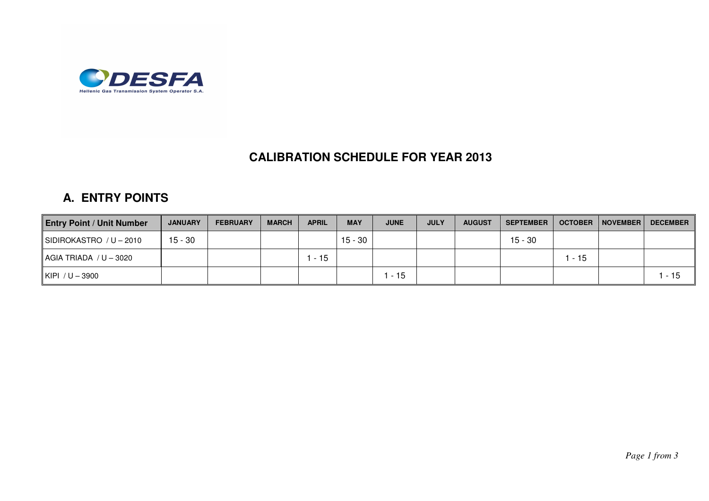

## **CALIBRATION SCHEDULE FOR YEAR 2013**

## **A. ENTRY POINTS**

| <b>Entry Point / Unit Number</b> | <b>JANUARY</b> | <b>FEBRUARY</b> | <b>MARCH</b> | <b>APRIL</b> | <b>MAY</b> | <b>JUNE</b> | <b>JULY</b> | <b>AUGUST</b> | <b>SEPTEMBER</b> | <b>OCTOBER</b> | NOVEMBER | <b>DECEMBER</b> |
|----------------------------------|----------------|-----------------|--------------|--------------|------------|-------------|-------------|---------------|------------------|----------------|----------|-----------------|
| SIDIROKASTRO / U - 2010          | 15 - 30        |                 |              |              | $15 - 30$  |             |             |               | $15 - 30$        |                |          |                 |
| $AGIA$ TRIADA $/ U - 3020$       |                |                 |              | $-15$        |            |             |             |               |                  | $-15$          |          |                 |
| KIPI $/U - 3900$                 |                |                 |              |              |            | $-15$       |             |               |                  |                |          | . - 15          |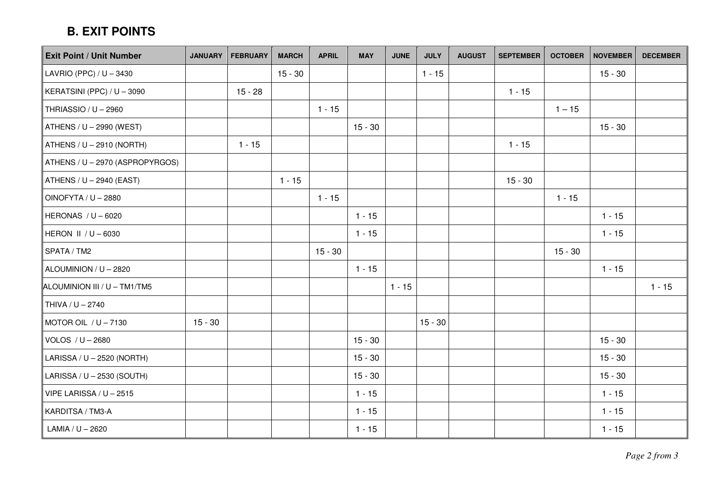## **B. EXIT POINTS**

| <b>Exit Point / Unit Number</b> | <b>JANUARY</b> | <b>FEBRUARY</b> | <b>MARCH</b> | <b>APRIL</b> | <b>MAY</b> | <b>JUNE</b> | <b>JULY</b> | <b>AUGUST</b> | <b>SEPTEMBER</b> |           | <b>OCTOBER   NOVEMBER</b> | <b>DECEMBER</b> |
|---------------------------------|----------------|-----------------|--------------|--------------|------------|-------------|-------------|---------------|------------------|-----------|---------------------------|-----------------|
| LAVRIO (PPC) / U - 3430         |                |                 | $15 - 30$    |              |            |             | $1 - 15$    |               |                  |           | $15 - 30$                 |                 |
| KERATSINI (PPC) / U - 3090      |                | $15 - 28$       |              |              |            |             |             |               | $1 - 15$         |           |                           |                 |
| THRIASSIO / U - 2960            |                |                 |              | $1 - 15$     |            |             |             |               |                  | $1 - 15$  |                           |                 |
| ATHENS / U - 2990 (WEST)        |                |                 |              |              | $15 - 30$  |             |             |               |                  |           | $15 - 30$                 |                 |
| ATHENS / U - 2910 (NORTH)       |                | $1 - 15$        |              |              |            |             |             |               | $1 - 15$         |           |                           |                 |
| ATHENS / U - 2970 (ASPROPYRGOS) |                |                 |              |              |            |             |             |               |                  |           |                           |                 |
| ATHENS / U - 2940 (EAST)        |                |                 | $1 - 15$     |              |            |             |             |               | $15 - 30$        |           |                           |                 |
| OINOFYTA / U - 2880             |                |                 |              | $1 - 15$     |            |             |             |               |                  | $1 - 15$  |                           |                 |
| HERONAS / U - 6020              |                |                 |              |              | $1 - 15$   |             |             |               |                  |           | $1 - 15$                  |                 |
| HERON II / U - 6030             |                |                 |              |              | $1 - 15$   |             |             |               |                  |           | $1 - 15$                  |                 |
| SPATA / TM2                     |                |                 |              | $15 - 30$    |            |             |             |               |                  | $15 - 30$ |                           |                 |
| ALOUMINION / U - 2820           |                |                 |              |              | $1 - 15$   |             |             |               |                  |           | $1 - 15$                  |                 |
| ALOUMINION III / U - TM1/TM5    |                |                 |              |              |            | $1 - 15$    |             |               |                  |           |                           | $1 - 15$        |
| THIVA / U - 2740                |                |                 |              |              |            |             |             |               |                  |           |                           |                 |
| MOTOR OIL / $U - 7130$          | $15 - 30$      |                 |              |              |            |             | $15 - 30$   |               |                  |           |                           |                 |
| VOLOS / $U - 2680$              |                |                 |              |              | $15 - 30$  |             |             |               |                  |           | $15 - 30$                 |                 |
| LARISSA / U - 2520 (NORTH)      |                |                 |              |              | $15 - 30$  |             |             |               |                  |           | $15 - 30$                 |                 |
| LARISSA / U - 2530 (SOUTH)      |                |                 |              |              | $15 - 30$  |             |             |               |                  |           | $15 - 30$                 |                 |
| VIPE LARISSA / U - 2515         |                |                 |              |              | $1 - 15$   |             |             |               |                  |           | $1 - 15$                  |                 |
| KARDITSA / TM3-A                |                |                 |              |              | $1 - 15$   |             |             |               |                  |           | $1 - 15$                  |                 |
| LAMIA / U - 2620                |                |                 |              |              | $1 - 15$   |             |             |               |                  |           | $1 - 15$                  |                 |